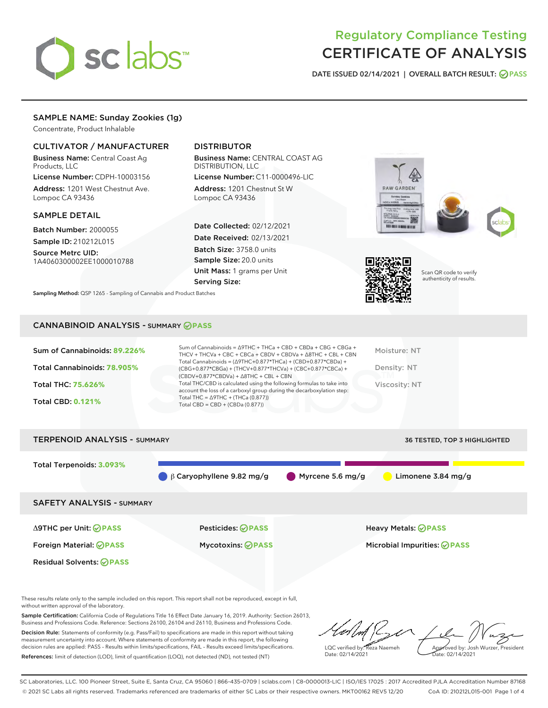

# Regulatory Compliance Testing CERTIFICATE OF ANALYSIS

DATE ISSUED 02/14/2021 | OVERALL BATCH RESULT: @ PASS

# SAMPLE NAME: Sunday Zookies (1g)

Concentrate, Product Inhalable

# CULTIVATOR / MANUFACTURER

Business Name: Central Coast Ag Products, LLC

License Number: CDPH-10003156 Address: 1201 West Chestnut Ave. Lompoc CA 93436

#### SAMPLE DETAIL

Batch Number: 2000055 Sample ID: 210212L015

Source Metrc UID: 1A4060300002EE1000010788

# DISTRIBUTOR

Business Name: CENTRAL COAST AG DISTRIBUTION, LLC

License Number: C11-0000496-LIC Address: 1201 Chestnut St W Lompoc CA 93436

Date Collected: 02/12/2021 Date Received: 02/13/2021 Batch Size: 3758.0 units Sample Size: 20.0 units Unit Mass: 1 grams per Unit Serving Size:





Scan QR code to verify authenticity of results.

Sampling Method: QSP 1265 - Sampling of Cannabis and Product Batches

## CANNABINOID ANALYSIS - SUMMARY **PASS**

| Sum of Cannabinoids: 89.226% | Sum of Cannabinoids = $\triangle$ 9THC + THCa + CBD + CBDa + CBG + CBGa +<br>THCV + THCVa + CBC + CBCa + CBDV + CBDVa + $\Delta$ 8THC + CBL + CBN                                    | Moisture: NT  |
|------------------------------|--------------------------------------------------------------------------------------------------------------------------------------------------------------------------------------|---------------|
| Total Cannabinoids: 78.905%  | Total Cannabinoids = $(\Delta$ 9THC+0.877*THCa) + (CBD+0.877*CBDa) +<br>(CBG+0.877*CBGa) + (THCV+0.877*THCVa) + (CBC+0.877*CBCa) +<br>$(CBDV+0.877*CBDVa) + \Delta 8THC + CBL + CBN$ | Density: NT   |
| <b>Total THC: 75.626%</b>    | Total THC/CBD is calculated using the following formulas to take into<br>account the loss of a carboxyl group during the decarboxylation step:                                       | Viscosity: NT |
| <b>Total CBD: 0.121%</b>     | Total THC = $\triangle$ 9THC + (THCa (0.877))<br>Total CBD = $CBD + (CBDa (0.877))$                                                                                                  |               |
|                              |                                                                                                                                                                                      |               |

TERPENOID ANALYSIS - SUMMARY 36 TESTED, TOP 3 HIGHLIGHTED, TOP 3 HIGHLIGHTED, TOP 3 HIGHLIGHTED, TOP 3 HIGHLIGHTED, TOP 3 HIGHLIGHTED, TOP 3 HIGHLIGHTED, TOP 3 HIGHLIGHTED, TOP 3 HIGHLIGHTED, TOP 3 HIGHLIGHTED, TOP 3 HIGHL

| I ERPENVID ANAL I 313 - SUMMARY  |                                 | <b>30 ILSILU, IUP 3 MIUMLIUM ILU</b>             |
|----------------------------------|---------------------------------|--------------------------------------------------|
| Total Terpenoids: 3.093%         | $\beta$ Caryophyllene 9.82 mg/g | Myrcene 5.6 mg/g<br>Limonene $3.84 \text{ mg/g}$ |
| <b>SAFETY ANALYSIS - SUMMARY</b> |                                 |                                                  |
| ∆9THC per Unit: ⊘PASS            | Pesticides: <b>⊘</b> PASS       | <b>Heavy Metals: ⊘ PASS</b>                      |
| Foreign Material: <b>⊘ PASS</b>  | <b>Mycotoxins: ⊘PASS</b>        | Microbial Impurities: <b>OPASS</b>               |
| <b>Residual Solvents: ⊘PASS</b>  |                                 |                                                  |

These results relate only to the sample included on this report. This report shall not be reproduced, except in full, without written approval of the laboratory.

Sample Certification: California Code of Regulations Title 16 Effect Date January 16, 2019. Authority: Section 26013, Business and Professions Code. Reference: Sections 26100, 26104 and 26110, Business and Professions Code. Decision Rule: Statements of conformity (e.g. Pass/Fail) to specifications are made in this report without taking

measurement uncertainty into account. Where statements of conformity are made in this report, the following decision rules are applied: PASS – Results within limits/specifications, FAIL – Results exceed limits/specifications. References: limit of detection (LOD), limit of quantification (LOQ), not detected (ND), not tested (NT)

LQC verified by: Reza Naemeh Date: 02/14/2021 Approved by: Josh Wurzer, President Date: 02/14/2021

SC Laboratories, LLC. 100 Pioneer Street, Suite E, Santa Cruz, CA 95060 | 866-435-0709 | sclabs.com | C8-0000013-LIC | ISO/IES 17025 : 2017 Accredited PJLA Accreditation Number 87168 © 2021 SC Labs all rights reserved. Trademarks referenced are trademarks of either SC Labs or their respective owners. MKT00162 REV5 12/20 CoA ID: 210212L015-001 Page 1 of 4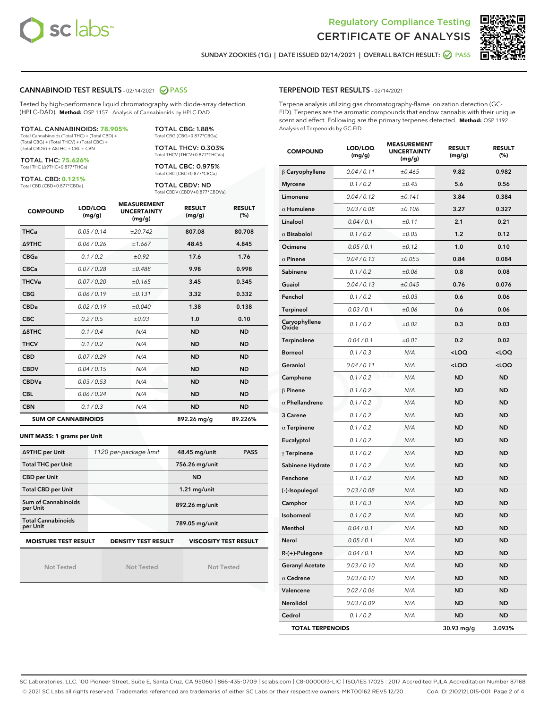



SUNDAY ZOOKIES (1G) | DATE ISSUED 02/14/2021 | OVERALL BATCH RESULT: **O PASS** 

## CANNABINOID TEST RESULTS - 02/14/2021 2 PASS

Tested by high-performance liquid chromatography with diode-array detection (HPLC-DAD). **Method:** QSP 1157 - Analysis of Cannabinoids by HPLC-DAD

TOTAL CANNABINOIDS: **78.905%** Total Cannabinoids (Total THC) + (Total CBD) + (Total CBG) + (Total THCV) + (Total CBC) +

(Total CBDV) + ∆8THC + CBL + CBN

TOTAL THC: **75.626%** Total THC (∆9THC+0.877\*THCa)

TOTAL CBD: **0.121%**

Total CBD (CBD+0.877\*CBDa)

Total CBG (CBG+0.877\*CBGa) TOTAL THCV: 0.303% Total THCV (THCV+0.877\*THCVa)

TOTAL CBG: 1.88%

TOTAL CBC: 0.975% Total CBC (CBC+0.877\*CBCa)

TOTAL CBDV: ND Total CBDV (CBDV+0.877\*CBDVa)

| <b>COMPOUND</b>            | LOD/LOQ<br>(mg/g) | <b>MEASUREMENT</b><br><b>UNCERTAINTY</b><br>(mg/g) | <b>RESULT</b><br>(mg/g) | <b>RESULT</b><br>(%) |
|----------------------------|-------------------|----------------------------------------------------|-------------------------|----------------------|
| <b>THCa</b>                | 0.05/0.14         | ±20.742                                            | 807.08                  | 80.708               |
| <b>A9THC</b>               | 0.06/0.26         | ±1.667                                             | 48.45                   | 4.845                |
| <b>CBGa</b>                | 0.1 / 0.2         | ±0.92                                              | 17.6                    | 1.76                 |
| <b>CBCa</b>                | 0.07/0.28         | ±0.488                                             | 9.98                    | 0.998                |
| <b>THCVa</b>               | 0.07/0.20         | ±0.165                                             | 3.45                    | 0.345                |
| <b>CBG</b>                 | 0.06/0.19         | ±0.131                                             | 3.32                    | 0.332                |
| <b>CBDa</b>                | 0.02/0.19         | ±0.040                                             | 1.38                    | 0.138                |
| <b>CBC</b>                 | 0.2 / 0.5         | ±0.03                                              | 1.0                     | 0.10                 |
| $\triangle$ 8THC           | 0.1/0.4           | N/A                                                | <b>ND</b>               | <b>ND</b>            |
| <b>THCV</b>                | 0.1 / 0.2         | N/A                                                | <b>ND</b>               | <b>ND</b>            |
| <b>CBD</b>                 | 0.07/0.29         | N/A                                                | <b>ND</b>               | <b>ND</b>            |
| <b>CBDV</b>                | 0.04/0.15         | N/A                                                | <b>ND</b>               | <b>ND</b>            |
| <b>CBDVa</b>               | 0.03 / 0.53       | N/A                                                | <b>ND</b>               | <b>ND</b>            |
| <b>CBL</b>                 | 0.06 / 0.24       | N/A                                                | <b>ND</b>               | <b>ND</b>            |
| <b>CBN</b>                 | 0.1/0.3           | N/A                                                | <b>ND</b>               | <b>ND</b>            |
| <b>SUM OF CANNABINOIDS</b> |                   |                                                    | 892.26 mg/g             | 89.226%              |

#### **UNIT MASS: 1 grams per Unit**

| ∆9THC per Unit                        | 1120 per-package limit     | 48.45 mg/unit<br><b>PASS</b> |
|---------------------------------------|----------------------------|------------------------------|
| <b>Total THC per Unit</b>             |                            | 756.26 mg/unit               |
| <b>CBD per Unit</b>                   |                            | <b>ND</b>                    |
| <b>Total CBD per Unit</b>             |                            | $1.21$ mg/unit               |
| Sum of Cannabinoids<br>per Unit       |                            | 892.26 mg/unit               |
| <b>Total Cannabinoids</b><br>per Unit |                            | 789.05 mg/unit               |
| <b>MOISTURE TEST RESULT</b>           | <b>DENSITY TEST RESULT</b> | <b>VISCOSITY TEST RESULT</b> |

Not Tested

Not Tested

Not Tested

#### TERPENOID TEST RESULTS - 02/14/2021

Terpene analysis utilizing gas chromatography-flame ionization detection (GC-FID). Terpenes are the aromatic compounds that endow cannabis with their unique scent and effect. Following are the primary terpenes detected. **Method:** QSP 1192 - Analysis of Terpenoids by GC-FID

| <b>COMPOUND</b>         | LOD/LOQ<br>(mg/g) | <b>MEASUREMENT</b><br><b>UNCERTAINTY</b><br>(mg/g) | <b>RESULT</b><br>(mg/g)                         | <b>RESULT</b><br>$(\%)$ |
|-------------------------|-------------------|----------------------------------------------------|-------------------------------------------------|-------------------------|
| $\beta$ Caryophyllene   | 0.04 / 0.11       | ±0.465                                             | 9.82                                            | 0.982                   |
| <b>Myrcene</b>          | 0.1 / 0.2         | ±0.45                                              | 5.6                                             | 0.56                    |
| Limonene                | 0.04 / 0.12       | ±0.141                                             | 3.84                                            | 0.384                   |
| $\alpha$ Humulene       | 0.03 / 0.08       | ±0.106                                             | 3.27                                            | 0.327                   |
| Linalool                | 0.04 / 0.1        | ±0.11                                              | 2.1                                             | 0.21                    |
| $\alpha$ Bisabolol      | 0.1 / 0.2         | ±0.05                                              | 1.2                                             | 0.12                    |
| Ocimene                 | 0.05 / 0.1        | ±0.12                                              | 1.0                                             | 0.10                    |
| $\alpha$ Pinene         | 0.04 / 0.13       | ±0.055                                             | 0.84                                            | 0.084                   |
| Sabinene                | 0.1 / 0.2         | ±0.06                                              | 0.8                                             | 0.08                    |
| Guaiol                  | 0.04 / 0.13       | ±0.045                                             | 0.76                                            | 0.076                   |
| Fenchol                 | 0.1 / 0.2         | ±0.03                                              | 0.6                                             | 0.06                    |
| Terpineol               | 0.03 / 0.1        | ±0.06                                              | 0.6                                             | 0.06                    |
| Caryophyllene<br>Oxide  | 0.1 / 0.2         | ±0.02                                              | 0.3                                             | 0.03                    |
| Terpinolene             | 0.04 / 0.1        | ±0.01                                              | 0.2                                             | 0.02                    |
| <b>Borneol</b>          | 0.1 / 0.3         | N/A                                                | <loq< td=""><td><loq< td=""></loq<></td></loq<> | <loq< td=""></loq<>     |
| Geraniol                | 0.04 / 0.11       | N/A                                                | <loq< td=""><td><loq< td=""></loq<></td></loq<> | <loq< td=""></loq<>     |
| Camphene                | 0.1 / 0.2         | N/A                                                | <b>ND</b>                                       | <b>ND</b>               |
| $\beta$ Pinene          | 0.1 / 0.2         | N/A                                                | ND                                              | <b>ND</b>               |
| $\alpha$ Phellandrene   | 0.1 / 0.2         | N/A                                                | ND                                              | <b>ND</b>               |
| 3 Carene                | 0.1 / 0.2         | N/A                                                | <b>ND</b>                                       | <b>ND</b>               |
| $\alpha$ Terpinene      | 0.1 / 0.2         | N/A                                                | ND                                              | <b>ND</b>               |
| Eucalyptol              | 0.1 / 0.2         | N/A                                                | ND                                              | <b>ND</b>               |
| $\gamma$ Terpinene      | 0.1 / 0.2         | N/A                                                | <b>ND</b>                                       | <b>ND</b>               |
| Sabinene Hydrate        | 0.1 / 0.2         | N/A                                                | ND                                              | <b>ND</b>               |
| Fenchone                | 0.1 / 0.2         | N/A                                                | ND                                              | <b>ND</b>               |
| (-)-Isopulegol          | 0.03 / 0.08       | N/A                                                | <b>ND</b>                                       | <b>ND</b>               |
| Camphor                 | 0.1 / 0.3         | N/A                                                | ND                                              | <b>ND</b>               |
| <b>Isoborneol</b>       | 0.1 / 0.2         | N/A                                                | ND                                              | <b>ND</b>               |
| Menthol                 | 0.04 / 0.1        | N/A                                                | <b>ND</b>                                       | <b>ND</b>               |
| Nerol                   | 0.05 / 0.1        | N/A                                                | <b>ND</b>                                       | <b>ND</b>               |
| R-(+)-Pulegone          | 0.04 / 0.1        | N/A                                                | ND                                              | ND                      |
| <b>Geranyl Acetate</b>  | 0.03 / 0.10       | N/A                                                | <b>ND</b>                                       | <b>ND</b>               |
| $\alpha$ Cedrene        | 0.03 / 0.10       | N/A                                                | ND                                              | ND                      |
| Valencene               | 0.02 / 0.06       | N/A                                                | ND                                              | ND                      |
| Nerolidol               | 0.03 / 0.09       | N/A                                                | <b>ND</b>                                       | ND                      |
| Cedrol                  | 0.1 / 0.2         | N/A                                                | <b>ND</b>                                       | ND                      |
| <b>TOTAL TERPENOIDS</b> |                   |                                                    | 30.93 mg/g                                      | 3.093%                  |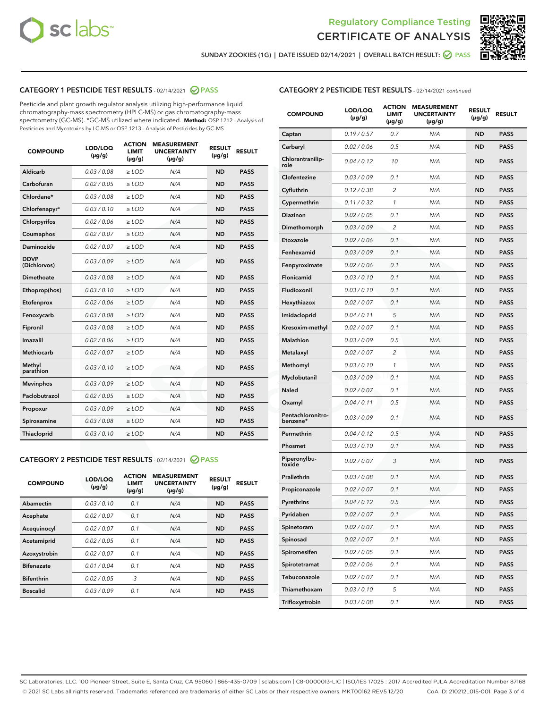



SUNDAY ZOOKIES (1G) | DATE ISSUED 02/14/2021 | OVERALL BATCH RESULT: @ PASS

# CATEGORY 1 PESTICIDE TEST RESULTS - 02/14/2021 2 PASS

Pesticide and plant growth regulator analysis utilizing high-performance liquid chromatography-mass spectrometry (HPLC-MS) or gas chromatography-mass spectrometry (GC-MS). \*GC-MS utilized where indicated. **Method:** QSP 1212 - Analysis of Pesticides and Mycotoxins by LC-MS or QSP 1213 - Analysis of Pesticides by GC-MS

| <b>COMPOUND</b>             | LOD/LOQ<br>$(\mu g/g)$ | <b>ACTION</b><br><b>LIMIT</b><br>$(\mu q/q)$ | <b>MEASUREMENT</b><br><b>UNCERTAINTY</b><br>$(\mu g/g)$ | <b>RESULT</b><br>$(\mu g/g)$ | <b>RESULT</b> |
|-----------------------------|------------------------|----------------------------------------------|---------------------------------------------------------|------------------------------|---------------|
| Aldicarb                    | 0.03 / 0.08            | $\ge$ LOD                                    | N/A                                                     | <b>ND</b>                    | <b>PASS</b>   |
| Carbofuran                  | 0.02/0.05              | $>$ LOD                                      | N/A                                                     | <b>ND</b>                    | <b>PASS</b>   |
| Chlordane*                  | 0.03 / 0.08            | $\ge$ LOD                                    | N/A                                                     | <b>ND</b>                    | <b>PASS</b>   |
| Chlorfenapyr*               | 0.03/0.10              | $\ge$ LOD                                    | N/A                                                     | <b>ND</b>                    | <b>PASS</b>   |
| Chlorpyrifos                | 0.02 / 0.06            | $\ge$ LOD                                    | N/A                                                     | <b>ND</b>                    | <b>PASS</b>   |
| Coumaphos                   | 0.02 / 0.07            | $>$ LOD                                      | N/A                                                     | <b>ND</b>                    | <b>PASS</b>   |
| <b>Daminozide</b>           | 0.02 / 0.07            | $\ge$ LOD                                    | N/A                                                     | <b>ND</b>                    | <b>PASS</b>   |
| <b>DDVP</b><br>(Dichlorvos) | 0.03/0.09              | $\ge$ LOD                                    | N/A                                                     | <b>ND</b>                    | <b>PASS</b>   |
| <b>Dimethoate</b>           | 0.03 / 0.08            | $\ge$ LOD                                    | N/A                                                     | <b>ND</b>                    | <b>PASS</b>   |
| Ethoprop(hos)               | 0.03/0.10              | $\ge$ LOD                                    | N/A                                                     | <b>ND</b>                    | <b>PASS</b>   |
| Etofenprox                  | 0.02 / 0.06            | $\ge$ LOD                                    | N/A                                                     | <b>ND</b>                    | <b>PASS</b>   |
| Fenoxycarb                  | 0.03 / 0.08            | $\ge$ LOD                                    | N/A                                                     | <b>ND</b>                    | <b>PASS</b>   |
| Fipronil                    | 0.03/0.08              | $>$ LOD                                      | N/A                                                     | <b>ND</b>                    | <b>PASS</b>   |
| Imazalil                    | 0.02 / 0.06            | $\ge$ LOD                                    | N/A                                                     | <b>ND</b>                    | <b>PASS</b>   |
| Methiocarb                  | 0.02 / 0.07            | $\ge$ LOD                                    | N/A                                                     | <b>ND</b>                    | <b>PASS</b>   |
| Methyl<br>parathion         | 0.03/0.10              | $>$ LOD                                      | N/A                                                     | <b>ND</b>                    | <b>PASS</b>   |
| <b>Mevinphos</b>            | 0.03/0.09              | $>$ LOD                                      | N/A                                                     | <b>ND</b>                    | <b>PASS</b>   |
| Paclobutrazol               | 0.02 / 0.05            | $\ge$ LOD                                    | N/A                                                     | <b>ND</b>                    | <b>PASS</b>   |
| Propoxur                    | 0.03/0.09              | $\ge$ LOD                                    | N/A                                                     | <b>ND</b>                    | <b>PASS</b>   |
| Spiroxamine                 | 0.03 / 0.08            | $\ge$ LOD                                    | N/A                                                     | <b>ND</b>                    | <b>PASS</b>   |
| <b>Thiacloprid</b>          | 0.03/0.10              | $\ge$ LOD                                    | N/A                                                     | <b>ND</b>                    | <b>PASS</b>   |

# CATEGORY 2 PESTICIDE TEST RESULTS - 02/14/2021 @ PASS

| <b>COMPOUND</b>   | LOD/LOQ<br>$(\mu g/g)$ | <b>ACTION</b><br><b>LIMIT</b><br>$(\mu g/g)$ | <b>MEASUREMENT</b><br><b>UNCERTAINTY</b><br>$(\mu g/g)$ | <b>RESULT</b><br>$(\mu g/g)$ | <b>RESULT</b> |
|-------------------|------------------------|----------------------------------------------|---------------------------------------------------------|------------------------------|---------------|
| Abamectin         | 0.03/0.10              | 0.1                                          | N/A                                                     | <b>ND</b>                    | <b>PASS</b>   |
| Acephate          | 0.02/0.07              | 0.1                                          | N/A                                                     | <b>ND</b>                    | <b>PASS</b>   |
| Acequinocyl       | 0.02/0.07              | 0.1                                          | N/A                                                     | <b>ND</b>                    | <b>PASS</b>   |
| Acetamiprid       | 0.02/0.05              | 0.1                                          | N/A                                                     | <b>ND</b>                    | <b>PASS</b>   |
| Azoxystrobin      | 0.02/0.07              | 0.1                                          | N/A                                                     | <b>ND</b>                    | <b>PASS</b>   |
| <b>Bifenazate</b> | 0.01/0.04              | 0.1                                          | N/A                                                     | <b>ND</b>                    | <b>PASS</b>   |
| <b>Bifenthrin</b> | 0.02/0.05              | 3                                            | N/A                                                     | <b>ND</b>                    | <b>PASS</b>   |
| <b>Boscalid</b>   | 0.03/0.09              | 0.1                                          | N/A                                                     | <b>ND</b>                    | <b>PASS</b>   |

|--|

| <b>COMPOUND</b>               | <b>LOD/LOQ</b><br>$(\mu g/g)$ | <b>ACTION</b><br><b>LIMIT</b><br>$(\mu g/g)$ | <b>MEASUREMENT</b><br><b>UNCERTAINTY</b><br>(µg/g) | <b>RESULT</b><br>(µg/g) | <b>RESULT</b> |
|-------------------------------|-------------------------------|----------------------------------------------|----------------------------------------------------|-------------------------|---------------|
| Captan                        | 0.19/0.57                     | 0.7                                          | N/A                                                | <b>ND</b>               | <b>PASS</b>   |
| Carbaryl                      | 0.02 / 0.06                   | 0.5                                          | N/A                                                | ND                      | <b>PASS</b>   |
| Chlorantranilip-<br>role      | 0.04 / 0.12                   | 10                                           | N/A                                                | ND                      | <b>PASS</b>   |
| Clofentezine                  | 0.03/0.09                     | 0.1                                          | N/A                                                | ND                      | <b>PASS</b>   |
| Cyfluthrin                    | 0.12 / 0.38                   | 2                                            | N/A                                                | ND                      | <b>PASS</b>   |
| Cypermethrin                  | 0.11 / 0.32                   | 1                                            | N/A                                                | ND                      | <b>PASS</b>   |
| <b>Diazinon</b>               | 0.02 / 0.05                   | 0.1                                          | N/A                                                | ND                      | PASS          |
| Dimethomorph                  | 0.03 / 0.09                   | 2                                            | N/A                                                | ND                      | <b>PASS</b>   |
| Etoxazole                     | 0.02 / 0.06                   | 0.1                                          | N/A                                                | ND                      | <b>PASS</b>   |
| Fenhexamid                    | 0.03 / 0.09                   | 0.1                                          | N/A                                                | ND                      | <b>PASS</b>   |
| Fenpyroximate                 | 0.02 / 0.06                   | 0.1                                          | N/A                                                | ND                      | <b>PASS</b>   |
| Flonicamid                    | 0.03 / 0.10                   | 0.1                                          | N/A                                                | ND                      | <b>PASS</b>   |
| Fludioxonil                   | 0.03/0.10                     | 0.1                                          | N/A                                                | ND                      | PASS          |
| Hexythiazox                   | 0.02 / 0.07                   | 0.1                                          | N/A                                                | ND                      | <b>PASS</b>   |
| Imidacloprid                  | 0.04 / 0.11                   | 5                                            | N/A                                                | ND                      | <b>PASS</b>   |
| Kresoxim-methyl               | 0.02 / 0.07                   | 0.1                                          | N/A                                                | ND                      | <b>PASS</b>   |
| <b>Malathion</b>              | 0.03 / 0.09                   | 0.5                                          | N/A                                                | ND                      | <b>PASS</b>   |
| Metalaxyl                     | 0.02 / 0.07                   | 2                                            | N/A                                                | ND                      | <b>PASS</b>   |
| Methomyl                      | 0.03 / 0.10                   | 1                                            | N/A                                                | ND                      | PASS          |
| Myclobutanil                  | 0.03 / 0.09                   | 0.1                                          | N/A                                                | ND                      | <b>PASS</b>   |
| Naled                         | 0.02 / 0.07                   | 0.1                                          | N/A                                                | ND                      | <b>PASS</b>   |
| Oxamyl                        | 0.04 / 0.11                   | 0.5                                          | N/A                                                | ND                      | PASS          |
| Pentachloronitro-<br>benzene* | 0.03 / 0.09                   | 0.1                                          | N/A                                                | ND                      | <b>PASS</b>   |
| Permethrin                    | 0.04 / 0.12                   | 0.5                                          | N/A                                                | ND                      | <b>PASS</b>   |
| Phosmet                       | 0.03/0.10                     | 0.1                                          | N/A                                                | ND                      | <b>PASS</b>   |
| Piperonylbu-<br>toxide        | 0.02 / 0.07                   | 3                                            | N/A                                                | ND                      | <b>PASS</b>   |
| Prallethrin                   | 0.03 / 0.08                   | 0.1                                          | N/A                                                | ND                      | <b>PASS</b>   |
| Propiconazole                 | 0.02 / 0.07                   | 0.1                                          | N/A                                                | ND                      | <b>PASS</b>   |
| Pyrethrins                    | 0.04 / 0.12                   | 0.5                                          | N/A                                                | ND                      | PASS          |
| Pyridaben                     | 0.02 / 0.07                   | 0.1                                          | N/A                                                | ND                      | PASS          |
| Spinetoram                    | 0.02 / 0.07                   | 0.1                                          | N/A                                                | ND                      | <b>PASS</b>   |
| Spinosad                      | 0.02 / 0.07                   | 0.1                                          | N/A                                                | ND                      | <b>PASS</b>   |
| Spiromesifen                  | 0.02 / 0.05                   | 0.1                                          | N/A                                                | ND                      | <b>PASS</b>   |
| Spirotetramat                 | 0.02 / 0.06                   | 0.1                                          | N/A                                                | ND                      | <b>PASS</b>   |
| Tebuconazole                  | 0.02 / 0.07                   | 0.1                                          | N/A                                                | ND                      | <b>PASS</b>   |
| Thiamethoxam                  | 0.03 / 0.10                   | 5                                            | N/A                                                | ND                      | <b>PASS</b>   |
| Trifloxystrobin               | 0.03 / 0.08                   | 0.1                                          | N/A                                                | ND                      | <b>PASS</b>   |